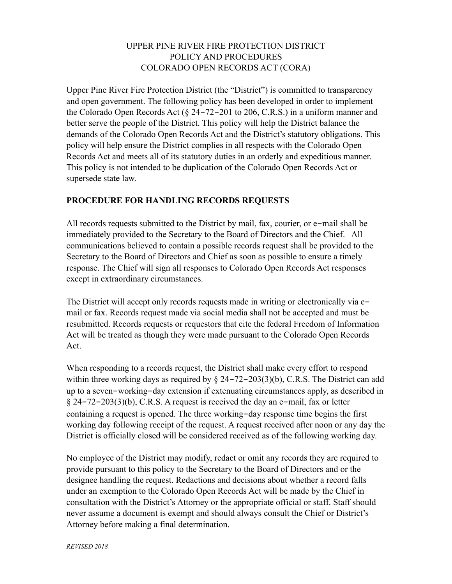### UPPER PINE RIVER FIRE PROTECTION DISTRICT POLICY AND PROCEDURES COLORADO OPEN RECORDS ACT (CORA)

Upper Pine River Fire Protection District (the "District") is committed to transparency and open government. The following policy has been developed in order to implement the Colorado Open Records Act (§ 24-72-201 to 206, C.R.S.) in a uniform manner and better serve the people of the District. This policy will help the District balance the demands of the Colorado Open Records Act and the District's statutory obligations. This policy will help ensure the District complies in all respects with the Colorado Open Records Act and meets all of its statutory duties in an orderly and expeditious manner. This policy is not intended to be duplication of the Colorado Open Records Act or supersede state law.

### **PROCEDURE FOR HANDLING RECORDS REQUESTS**

All records requests submitted to the District by mail, fax, courier, or e-mail shall be immediately provided to the Secretary to the Board of Directors and the Chief. All communications believed to contain a possible records request shall be provided to the Secretary to the Board of Directors and Chief as soon as possible to ensure a timely response. The Chief will sign all responses to Colorado Open Records Act responses except in extraordinary circumstances.

The District will accept only records requests made in writing or electronically via email or fax. Records request made via social media shall not be accepted and must be resubmitted. Records requests or requestors that cite the federal Freedom of Information Act will be treated as though they were made pursuant to the Colorado Open Records Act.

When responding to a records request, the District shall make every effort to respond within three working days as required by  $\S$  24-72-203(3)(b), C.R.S. The District can add up to a seven-working-day extension if extenuating circumstances apply, as described in § 24-72-203(3)(b), C.R.S. A request is received the day an e-mail, fax or letter containing a request is opened. The three working-day response time begins the first working day following receipt of the request. A request received after noon or any day the District is officially closed will be considered received as of the following working day.

No employee of the District may modify, redact or omit any records they are required to provide pursuant to this policy to the Secretary to the Board of Directors and or the designee handling the request. Redactions and decisions about whether a record falls under an exemption to the Colorado Open Records Act will be made by the Chief in consultation with the District's Attorney or the appropriate official or staff. Staff should never assume a document is exempt and should always consult the Chief or District's Attorney before making a final determination.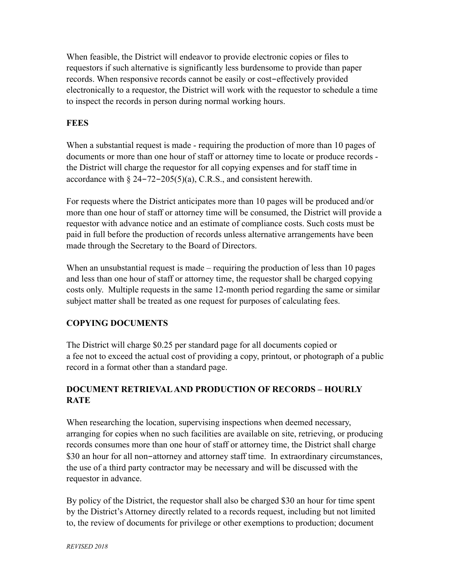When feasible, the District will endeavor to provide electronic copies or files to requestors if such alternative is significantly less burdensome to provide than paper records. When responsive records cannot be easily or cost-effectively provided electronically to a requestor, the District will work with the requestor to schedule a time to inspect the records in person during normal working hours.

# **FEES**

When a substantial request is made - requiring the production of more than 10 pages of documents or more than one hour of staff or attorney time to locate or produce records the District will charge the requestor for all copying expenses and for staff time in accordance with § 24-72-205(5)(a), C.R.S., and consistent herewith.

For requests where the District anticipates more than 10 pages will be produced and/or more than one hour of staff or attorney time will be consumed, the District will provide a requestor with advance notice and an estimate of compliance costs. Such costs must be paid in full before the production of records unless alternative arrangements have been made through the Secretary to the Board of Directors.

When an unsubstantial request is made – requiring the production of less than 10 pages and less than one hour of staff or attorney time, the requestor shall be charged copying costs only. Multiple requests in the same 12-month period regarding the same or similar subject matter shall be treated as one request for purposes of calculating fees.

# **COPYING DOCUMENTS**

The District will charge \$0.25 per standard page for all documents copied or a fee not to exceed the actual cost of providing a copy, printout, or photograph of a public record in a format other than a standard page.

# **DOCUMENT RETRIEVAL AND PRODUCTION OF RECORDS – HOURLY RATE**

When researching the location, supervising inspections when deemed necessary, arranging for copies when no such facilities are available on site, retrieving, or producing records consumes more than one hour of staff or attorney time, the District shall charge \$30 an hour for all non-attorney and attorney staff time. In extraordinary circumstances, the use of a third party contractor may be necessary and will be discussed with the requestor in advance.

By policy of the District, the requestor shall also be charged \$30 an hour for time spent by the District's Attorney directly related to a records request, including but not limited to, the review of documents for privilege or other exemptions to production; document